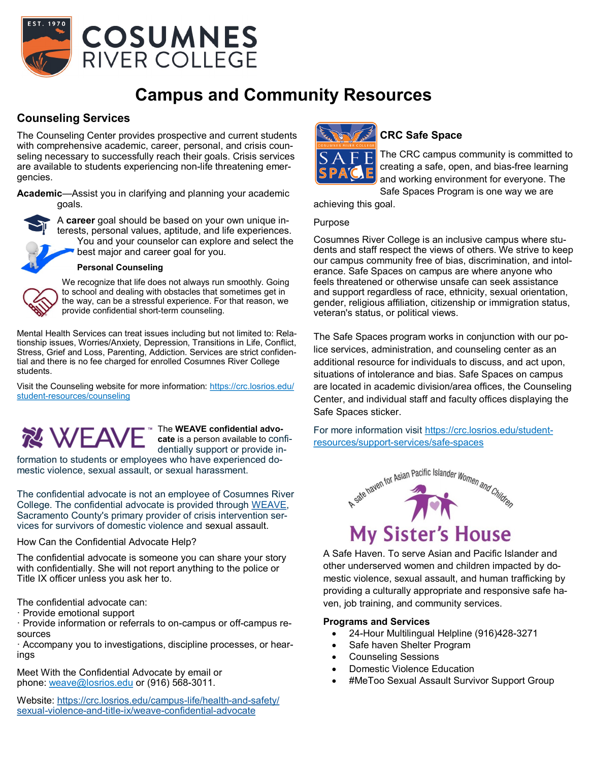

# **Campus and Community Resources**

### **Counseling Services**

The Counseling Center provides prospective and current students with comprehensive academic, career, personal, and crisis counseling necessary to successfully reach their goals. Crisis services are available to students experiencing non-life threatening emergencies.

**Academic**—Assist you in clarifying and planning your academic goals.



A **career** goal should be based on your own unique interests, personal values, aptitude, and life experiences. You and your counselor can explore and select the best major and career goal for you.



#### **Personal Counseling**

We recognize that life does not always run smoothly. Going to school and dealing with obstacles that sometimes get in the way, can be a stressful experience. For that reason, we provide confidential short-term counseling.

Mental Health Services can treat issues including but not limited to: Relationship issues, Worries/Anxiety, Depression, Transitions in Life, Conflict, Stress, Grief and Loss, Parenting, Addiction. Services are strict confidential and there is no fee charged for enrolled Cosumnes River College students.

Visit the Counseling website for more information: https://crc.losrios.edu/ student-resources/counseling



The **WEAVE confidential advocate** is a person available to confidentially support or provide in-

formation to students or employees who have experienced domestic violence, sexual assault, or sexual harassment.

The confidential advocate is not an employee of Cosumnes River College. The confidential advocate is provided through [WEAVE,](https://www.weaveinc.org/)  Sacramento County's primary provider of crisis intervention services for survivors of domestic violence and sexual assault.

How Can the Confidential Advocate Help?

The confidential advocate is someone you can share your story with confidentially. She will not report anything to the police or Title IX officer unless you ask her to.

The confidential advocate can:

· Provide emotional support

· Provide information or referrals to on-campus or off-campus resources

· Accompany you to investigations, discipline processes, or hearings

Meet With the Confidential Advocate by email or phone: [weave@losrios.edu](mailto:weave@losrios.edu) or (916) 568-3011.

Website: [https://crc.losrios.edu/campus](https://crc.losrios.edu/campus-life/health-and-safety/sexual-violence-and-title-ix/weave-confidential-advocate)-life/health-and-safety/ sexual-violence-and-title-ix/weave-[confidential](https://crc.losrios.edu/campus-life/health-and-safety/sexual-violence-and-title-ix/weave-confidential-advocate)-advocate



## **CRC Safe Space**

The CRC campus community is committed to creating a safe, open, and bias-free learning and working environment for everyone. The Safe Spaces Program is one way we are

achieving this goal.

#### Purpose

Cosumnes River College is an inclusive campus where students and staff respect the views of others. We strive to keep our campus community free of bias, discrimination, and intolerance. Safe Spaces on campus are where anyone who feels threatened or otherwise unsafe can seek assistance and support regardless of race, ethnicity, sexual orientation, gender, religious affiliation, citizenship or immigration status, veteran's status, or political views.

The Safe Spaces program works in conjunction with our police services, administration, and counseling center as an additional resource for individuals to discuss, and act upon, situations of intolerance and bias. Safe Spaces on campus are located in academic division/area offices, the Counseling Center, and individual staff and faculty offices displaying the Safe Spaces sticker.

For more information visit https://crc.losrios.edu/studentresources/support-services/safe-spaces



A Safe Haven. To serve Asian and Pacific Islander and other underserved women and children impacted by domestic violence, sexual assault, and human trafficking by providing a culturally appropriate and responsive safe haven, job training, and community services.

#### **Programs and Services**

- 24-Hour Multilingual Helpline (916)428-3271
- Safe haven Shelter Program
- Counseling Sessions
- Domestic Violence Education
- #MeToo Sexual Assault Survivor Support Group